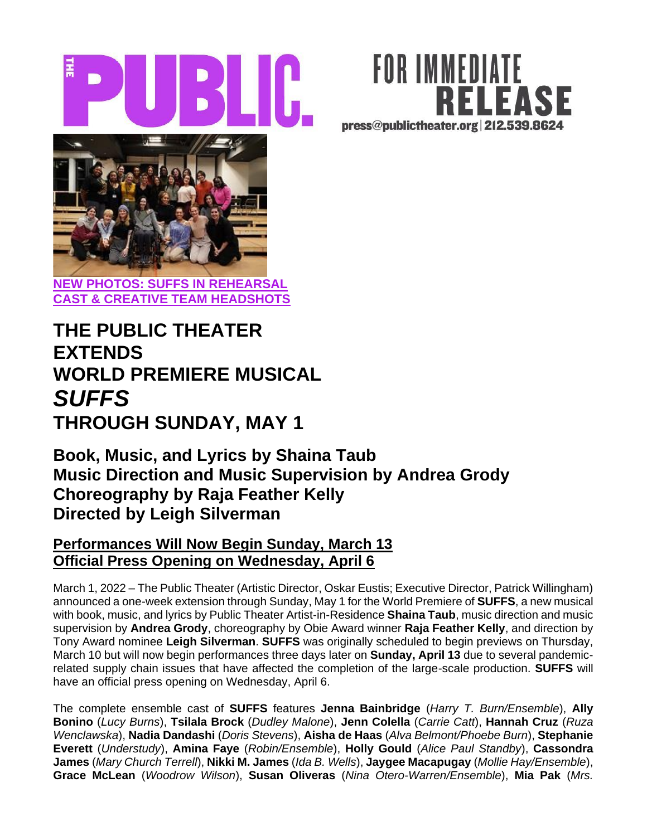





# **THE PUBLIC THEATER EXTENDS WORLD PREMIERE MUSICAL** *SUFFS* **THROUGH SUNDAY, MAY 1**

# **Book, Music, and Lyrics by Shaina Taub Music Direction and Music Supervision by Andrea Grody Choreography by Raja Feather Kelly Directed by Leigh Silverman**

# **Performances Will Now Begin Sunday, March 13 Official Press Opening on Wednesday, April 6**

March 1, 2022 – The Public Theater (Artistic Director, Oskar Eustis; Executive Director, Patrick Willingham) announced a one-week extension through Sunday, May 1 for the World Premiere of **SUFFS**, a new musical with book, music, and lyrics by Public Theater Artist-in-Residence **Shaina Taub**, music direction and music supervision by **Andrea Grody**, choreography by Obie Award winner **Raja Feather Kelly**, and direction by Tony Award nominee **Leigh Silverman**. **SUFFS** was originally scheduled to begin previews on Thursday, March 10 but will now begin performances three days later on **Sunday, April 13** due to several pandemicrelated supply chain issues that have affected the completion of the large-scale production. **SUFFS** will have an official press opening on Wednesday, April 6.

The complete ensemble cast of **SUFFS** features **Jenna Bainbridge** (*Harry T. Burn/Ensemble*), **Ally Bonino** (*Lucy Burns*), **Tsilala Brock** (*Dudley Malone*), **Jenn Colella** (*Carrie Catt*), **Hannah Cruz** (*Ruza Wenclawska*), **Nadia Dandashi** (*Doris Stevens*), **Aisha de Haas** (*Alva Belmont/Phoebe Burn*), **Stephanie Everett** (*Understudy*), **Amina Faye** (*Robin/Ensemble*), **Holly Gould** (*Alice Paul Standby*), **Cassondra James** (*Mary Church Terrell*), **Nikki M. James** (*Ida B. Wells*), **Jaygee Macapugay** (*Mollie Hay/Ensemble*), **Grace McLean** (*Woodrow Wilson*), **Susan Oliveras** (*Nina Otero-Warren/Ensemble*), **Mia Pak** (*Mrs.*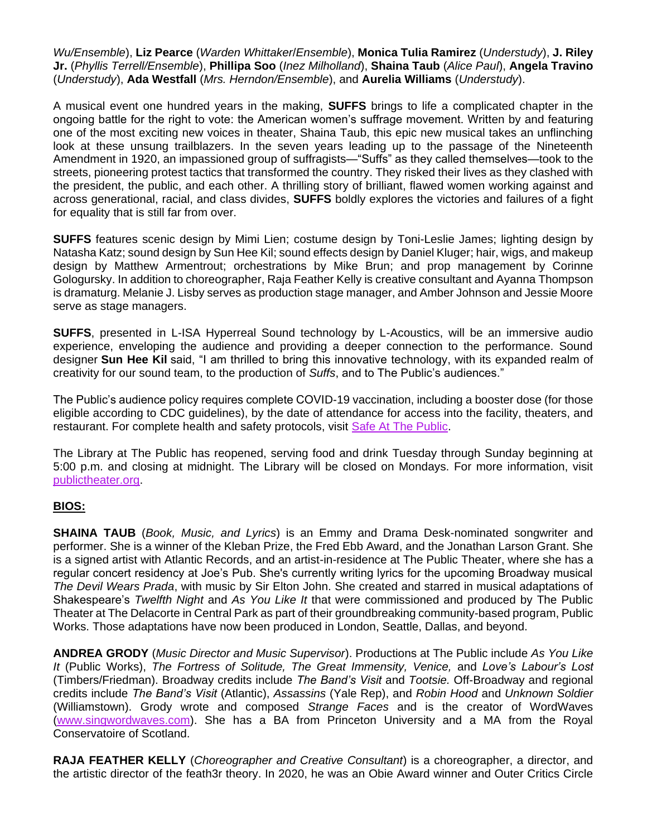*Wu/Ensemble*), **Liz Pearce** (*Warden Whittaker*/*Ensemble*), **Monica Tulia Ramirez** (*Understudy*), **J. Riley Jr.** (*Phyllis Terrell/Ensemble*), **Phillipa Soo** (*Inez Milholland*), **Shaina Taub** (*Alice Paul*), **Angela Travino**  (*Understudy*), **Ada Westfall** (*Mrs. Herndon/Ensemble*), and **Aurelia Williams** (*Understudy*).

A musical event one hundred years in the making, **SUFFS** brings to life a complicated chapter in the ongoing battle for the right to vote: the American women's suffrage movement. Written by and featuring one of the most exciting new voices in theater, Shaina Taub, this epic new musical takes an unflinching look at these unsung trailblazers. In the seven years leading up to the passage of the Nineteenth Amendment in 1920, an impassioned group of suffragists—"Suffs" as they called themselves—took to the streets, pioneering protest tactics that transformed the country. They risked their lives as they clashed with the president, the public, and each other. A thrilling story of brilliant, flawed women working against and across generational, racial, and class divides, **SUFFS** boldly explores the victories and failures of a fight for equality that is still far from over.

**SUFFS** features scenic design by Mimi Lien; costume design by Toni-Leslie James; lighting design by Natasha Katz; sound design by Sun Hee Kil; sound effects design by Daniel Kluger; hair, wigs, and makeup design by Matthew Armentrout; orchestrations by Mike Brun; and prop management by Corinne Gologursky. In addition to choreographer, Raja Feather Kelly is creative consultant and Ayanna Thompson is dramaturg. Melanie J. Lisby serves as production stage manager, and Amber Johnson and Jessie Moore serve as stage managers.

**SUFFS**, presented in L-ISA Hyperreal Sound technology by L-Acoustics, will be an immersive audio experience, enveloping the audience and providing a deeper connection to the performance. Sound designer **Sun Hee Kil** said, "I am thrilled to bring this innovative technology, with its expanded realm of creativity for our sound team, to the production of *Suffs*, and to The Public's audiences."

The Public's audience policy requires complete COVID-19 vaccination, including a booster dose (for those eligible according to CDC guidelines), by the date of attendance for access into the facility, theaters, and restaurant. For complete health and safety protocols, visit [Safe At The Public.](http://thepublic.nyc/safeatthepublic)

The Library at The Public has reopened, serving food and drink Tuesday through Sunday beginning at 5:00 p.m. and closing at midnight. The Library will be closed on Mondays. For more information, visi[t](http://www.publictheater.org/) [publictheater.org.](http://www.publictheater.org/)

#### **BIOS:**

**SHAINA TAUB** (*Book, Music, and Lyrics*) is an Emmy and Drama Desk-nominated songwriter and performer. She is a winner of the Kleban Prize, the Fred Ebb Award, and the Jonathan Larson Grant. She is a signed artist with Atlantic Records, and an artist-in-residence at The Public Theater, where she has a regular concert residency at Joe's Pub. She's currently writing lyrics for the upcoming Broadway musical *The Devil Wears Prada*, with music by Sir Elton John. She created and starred in musical adaptations of Shakespeare's *Twelfth Night* and *As You Like It* that were commissioned and produced by The Public Theater at The Delacorte in Central Park as part of their groundbreaking community-based program, Public Works. Those adaptations have now been produced in London, Seattle, Dallas, and beyond.

**ANDREA GRODY** (*Music Director and Music Supervisor*). Productions at The Public include *As You Like It* (Public Works), *The Fortress of Solitude, The Great Immensity, Venice,* and *Love's Labour's Lost*  (Timbers/Friedman). Broadway credits include *The Band's Visit* and *Tootsie.* Off-Broadway and regional credits include *The Band's Visit* (Atlantic), *Assassins* (Yale Rep), and *Robin Hood* and *Unknown Soldier* (Williamstown). Grody wrote and composed *Strange Faces* and is the creator of WordWaves [\(www.singwordwaves.com\)](http://www.singwordwaves.com/). She has a BA from Princeton University and a MA from the Royal Conservatoire of Scotland.

**RAJA FEATHER KELLY** (*Choreographer and Creative Consultant*) is a choreographer, a director, and the artistic director of the feath3r theory. In 2020, he was an Obie Award winner and Outer Critics Circle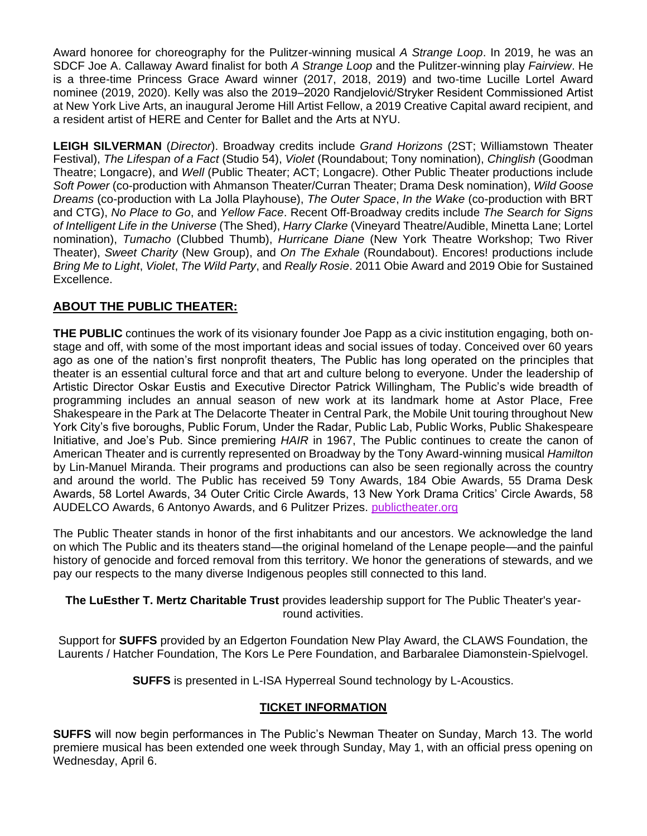Award honoree for choreography for the Pulitzer-winning musical *A Strange Loop*. In 2019, he was an SDCF Joe A. Callaway Award finalist for both *A Strange Loop* and the Pulitzer-winning play *Fairview*. He is a three-time Princess Grace Award winner (2017, 2018, 2019) and two-time Lucille Lortel Award nominee (2019, 2020). Kelly was also the 2019–2020 Randjelović/Stryker Resident Commissioned Artist at New York Live Arts, an inaugural Jerome Hill Artist Fellow, a 2019 Creative Capital award recipient, and a resident artist of HERE and Center for Ballet and the Arts at NYU.

**LEIGH SILVERMAN** (*Director*). Broadway credits include *Grand Horizons* (2ST; Williamstown Theater Festival), *The Lifespan of a Fact* (Studio 54), *Violet* (Roundabout; Tony nomination), *Chinglish* (Goodman Theatre; Longacre), and *Well* (Public Theater; ACT; Longacre). Other Public Theater productions include *Soft Power* (co-production with Ahmanson Theater/Curran Theater; Drama Desk nomination), *Wild Goose Dreams* (co-production with La Jolla Playhouse), *The Outer Space*, *In the Wake* (co-production with BRT and CTG), *No Place to Go*, and *Yellow Face*. Recent Off-Broadway credits include *The Search for Signs of Intelligent Life in the Universe* (The Shed), *Harry Clarke* (Vineyard Theatre/Audible, Minetta Lane; Lortel nomination), *Tumacho* (Clubbed Thumb), *Hurricane Diane* (New York Theatre Workshop; Two River Theater), *Sweet Charity* (New Group), and *On The Exhale* (Roundabout). Encores! productions include *Bring Me to Light*, *Violet*, *The Wild Party*, and *Really Rosie*. 2011 Obie Award and 2019 Obie for Sustained Excellence.

## **ABOUT THE PUBLIC THEATER:**

**THE PUBLIC** continues the work of its visionary founder Joe Papp as a civic institution engaging, both onstage and off, with some of the most important ideas and social issues of today. Conceived over 60 years ago as one of the nation's first nonprofit theaters, The Public has long operated on the principles that theater is an essential cultural force and that art and culture belong to everyone. Under the leadership of Artistic Director Oskar Eustis and Executive Director Patrick Willingham, The Public's wide breadth of programming includes an annual season of new work at its landmark home at Astor Place, Free Shakespeare in the Park at The Delacorte Theater in Central Park, the Mobile Unit touring throughout New York City's five boroughs, Public Forum, Under the Radar, Public Lab, Public Works, Public Shakespeare Initiative, and Joe's Pub. Since premiering *HAIR* in 1967, The Public continues to create the canon of American Theater and is currently represented on Broadway by the Tony Award-winning musical *Hamilton*  by Lin-Manuel Miranda. Their programs and productions can also be seen regionally across the country and around the world. The Public has received 59 Tony Awards, 184 Obie Awards, 55 Drama Desk Awards, 58 Lortel Awards, 34 Outer Critic Circle Awards, 13 New York Drama Critics' Circle Awards, 58 AUDELCO Awards, 6 Antonyo Awards, and 6 Pulitzer Prizes[.](http://publictheater.org/) [publictheater.org](http://publictheater.org/)

The Public Theater stands in honor of the first inhabitants and our ancestors. We acknowledge the land on which The Public and its theaters stand—the original homeland of the Lenape people—and the painful history of genocide and forced removal from this territory. We honor the generations of stewards, and we pay our respects to the many diverse Indigenous peoples still connected to this land.

#### **The LuEsther T. Mertz Charitable Trust** provides leadership support for The Public Theater's yearround activities.

Support for **SUFFS** provided by an Edgerton Foundation New Play Award, the CLAWS Foundation, the Laurents / Hatcher Foundation, The Kors Le Pere Foundation, and Barbaralee Diamonstein-Spielvogel.

**SUFFS** is presented in L-ISA Hyperreal Sound technology by L-Acoustics.

### **TICKET INFORMATION**

**SUFFS** will now begin performances in The Public's Newman Theater on Sunday, March 13. The world premiere musical has been extended one week through Sunday, May 1, with an official press opening on Wednesday, April 6.